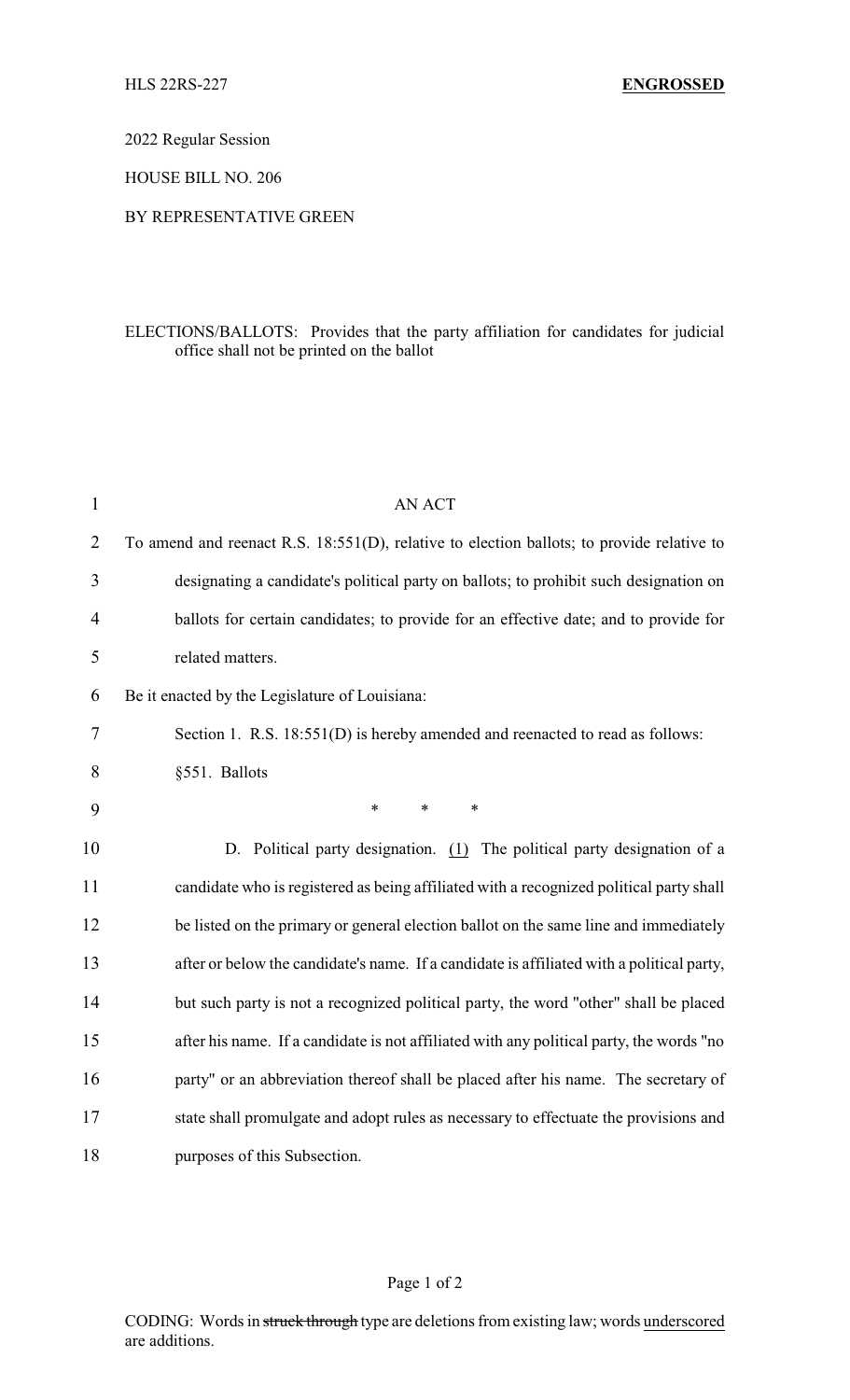2022 Regular Session

HOUSE BILL NO. 206

## BY REPRESENTATIVE GREEN

## ELECTIONS/BALLOTS: Provides that the party affiliation for candidates for judicial office shall not be printed on the ballot

| $\mathbf{1}$   | AN ACT                                                                                    |
|----------------|-------------------------------------------------------------------------------------------|
| $\overline{2}$ | To amend and reenact R.S. 18:551(D), relative to election ballots; to provide relative to |
| 3              | designating a candidate's political party on ballots; to prohibit such designation on     |
| 4              | ballots for certain candidates; to provide for an effective date; and to provide for      |
| 5              | related matters.                                                                          |
| 6              | Be it enacted by the Legislature of Louisiana:                                            |
| 7              | Section 1. R.S. 18:551(D) is hereby amended and reenacted to read as follows:             |
| 8              | §551. Ballots                                                                             |
| 9              | $\ast$<br>$\ast$<br>*                                                                     |
| 10             | D. Political party designation. (1) The political party designation of a                  |
| 11             | candidate who is registered as being affiliated with a recognized political party shall   |
| 12             | be listed on the primary or general election ballot on the same line and immediately      |
| 13             | after or below the candidate's name. If a candidate is affiliated with a political party, |
| 14             | but such party is not a recognized political party, the word "other" shall be placed      |
| 15             | after his name. If a candidate is not affiliated with any political party, the words "no  |
| 16             | party" or an abbreviation thereof shall be placed after his name. The secretary of        |
| 17             | state shall promulgate and adopt rules as necessary to effectuate the provisions and      |
| 18             | purposes of this Subsection.                                                              |